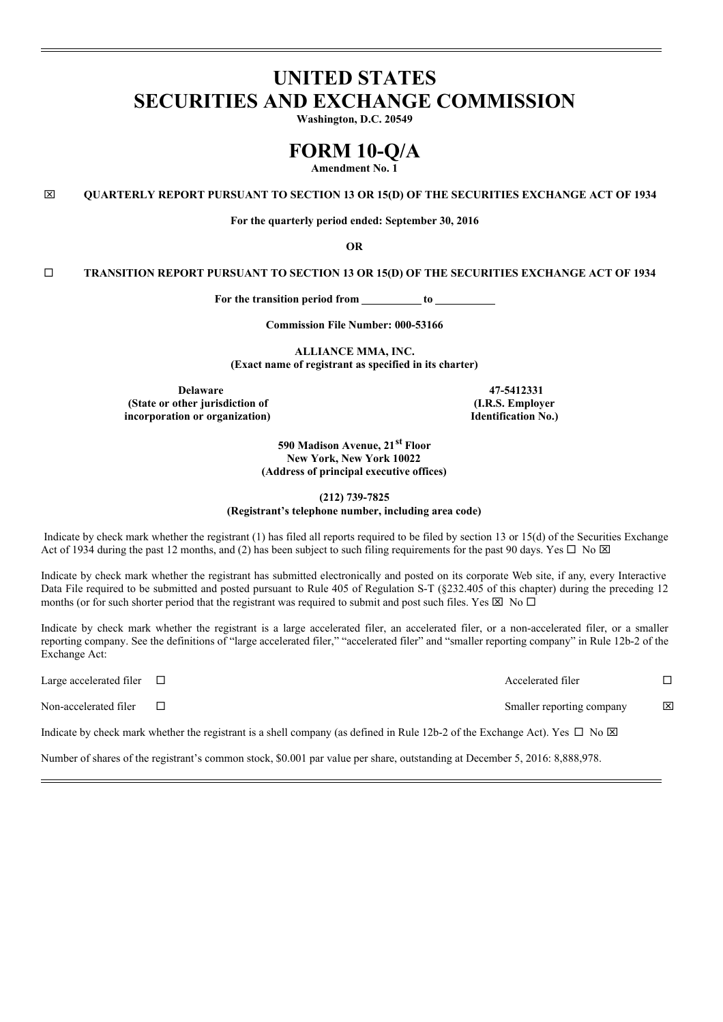# **UNITED STATES SECURITIES AND EXCHANGE COMMISSION**

**Washington, D.C. 20549**

## **FORM 10-Q/A**

**Amendment No. 1**

x **QUARTERLY REPORT PURSUANT TO SECTION 13 OR 15(D) OF THE SECURITIES EXCHANGE ACT OF 1934**

**For the quarterly period ended: September 30, 2016**

**OR**

¨ **TRANSITION REPORT PURSUANT TO SECTION 13 OR 15(D) OF THE SECURITIES EXCHANGE ACT OF 1934**

**For the transition period from to**

**Commission File Number: 000-53166**

**ALLIANCE MMA, INC. (Exact name of registrant as specified in its charter)**

**Delaware 47-5412331 (State or other jurisdiction of incorporation or organization)**

**(I.R.S. Employer Identification No.)**

**590 Madison Avenue, 21 st Floor New York, New York 10022 (Address of principal executive offices)**

**(212) 739-7825 (Registrant's telephone number, including area code)**

Indicate by check mark whether the registrant (1) has filed all reports required to be filed by section 13 or 15(d) of the Securities Exchange Act of 1934 during the past 12 months, and (2) has been subject to such filing requirements for the past 90 days. Yes  $\Box$  No  $\boxtimes$ 

Indicate by check mark whether the registrant has submitted electronically and posted on its corporate Web site, if any, every Interactive Data File required to be submitted and posted pursuant to Rule 405 of Regulation S-T (§232.405 of this chapter) during the preceding 12 months (or for such shorter period that the registrant was required to submit and post such files. Yes  $\boxtimes$  No  $\square$ 

Indicate by check mark whether the registrant is a large accelerated filer, an accelerated filer, or a non-accelerated filer, or a smaller reporting company. See the definitions of "large accelerated filer," "accelerated filer" and "smaller reporting company" in Rule 12b-2 of the Exchange Act:

Large accelerated filer  $\Box$ 

Non-accelerated filer  $\Box$ 

Indicate by check mark whether the registrant is a shell company (as defined in Rule 12b-2 of the Exchange Act). Yes  $\Box$  No  $\boxtimes$ 

Number of shares of the registrant's common stock, \$0.001 par value per share, outstanding at December 5, 2016: 8,888,978.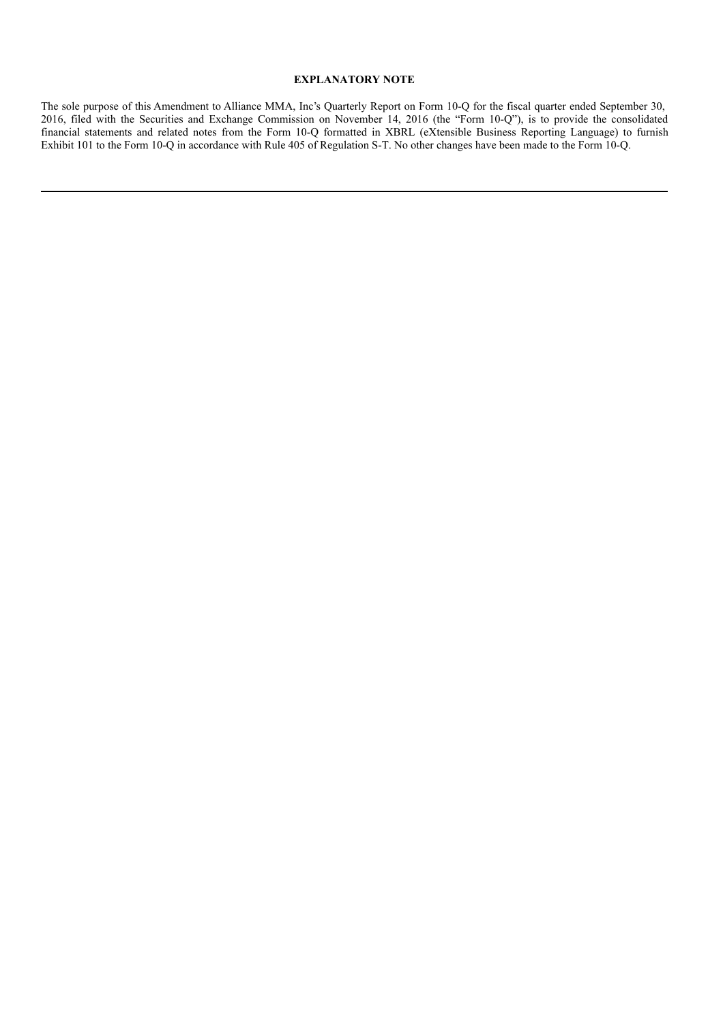#### **EXPLANATORY NOTE**

The sole purpose of this Amendment to Alliance MMA, Inc's Quarterly Report on Form 10-Q for the fiscal quarter ended September 30, 2016, filed with the Securities and Exchange Commission on November 14, 2016 (the "Form 10-Q"), is to provide the consolidated financial statements and related notes from the Form 10-Q formatted in XBRL (eXtensible Business Reporting Language) to furnish Exhibit 101 to the Form 10-Q in accordance with Rule 405 of Regulation S-T. No other changes have been made to the Form 10-Q.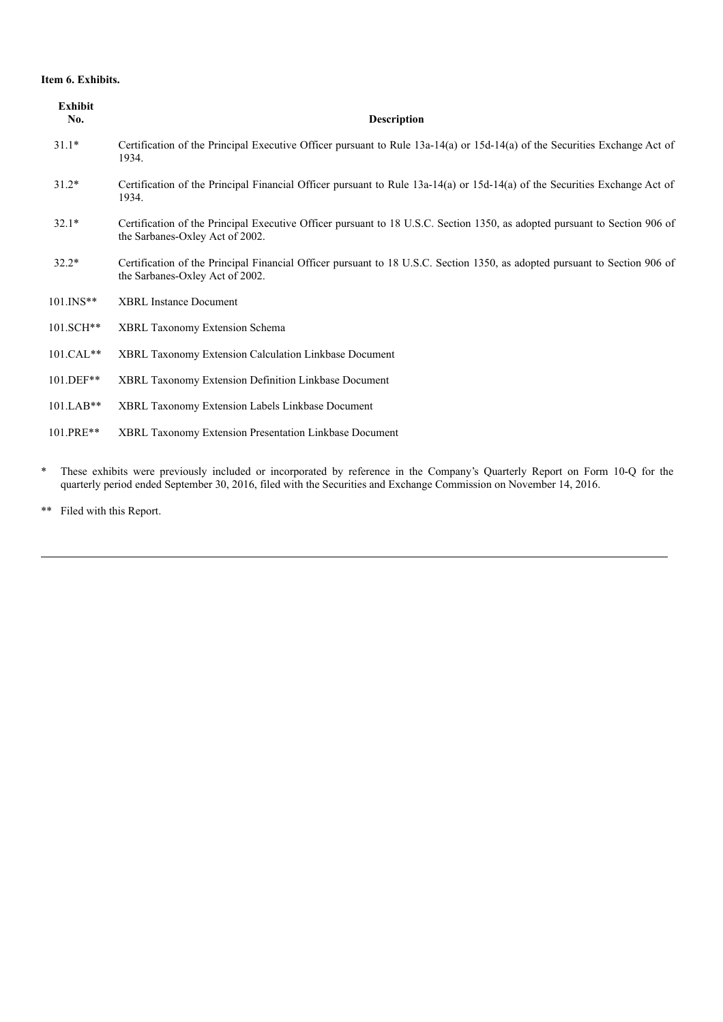#### **Item 6. Exhibits.**

| <b>Exhibit</b><br>No. | <b>Description</b>                                                                                                                                            |
|-----------------------|---------------------------------------------------------------------------------------------------------------------------------------------------------------|
| $31.1*$               | Certification of the Principal Executive Officer pursuant to Rule $13a-14(a)$ or $15d-14(a)$ of the Securities Exchange Act of<br>1934.                       |
| $31.2*$               | Certification of the Principal Financial Officer pursuant to Rule 13a-14(a) or 15d-14(a) of the Securities Exchange Act of<br>1934.                           |
| $32.1*$               | Certification of the Principal Executive Officer pursuant to 18 U.S.C. Section 1350, as adopted pursuant to Section 906 of<br>the Sarbanes-Oxley Act of 2002. |
| $32.2*$               | Certification of the Principal Financial Officer pursuant to 18 U.S.C. Section 1350, as adopted pursuant to Section 906 of<br>the Sarbanes-Oxley Act of 2002. |
| $101.$ INS**          | <b>XBRL</b> Instance Document                                                                                                                                 |
| 101.SCH**             | <b>XBRL Taxonomy Extension Schema</b>                                                                                                                         |
| $101.CAL**$           | XBRL Taxonomy Extension Calculation Linkbase Document                                                                                                         |
| 101.DEF**             | XBRL Taxonomy Extension Definition Linkbase Document                                                                                                          |
| $101.LAB**$           | XBRL Taxonomy Extension Labels Linkbase Document                                                                                                              |
| 101.PRE**             | XBRL Taxonomy Extension Presentation Linkbase Document                                                                                                        |

\* These exhibits were previously included or incorporated by reference in the Company's Quarterly Report on Form 10-Q for the quarterly period ended September 30, 2016, filed with the Securities and Exchange Commission on November 14, 2016.

\*\* Filed with this Report.